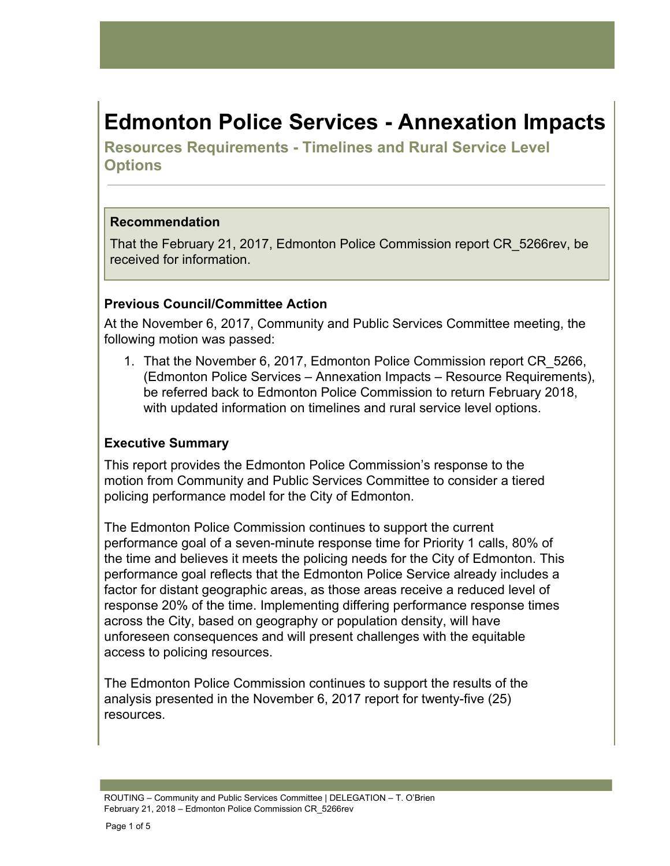# **Edmonton Police Services - Annexation Impacts**

**Resources Requirements - Timelines and Rural Service Level Options**

#### **Recommendation**

That the February 21, 2017, Edmonton Police Commission report CR\_5266rev, be received for information.

#### **Previous Council/Committee Action**

At the November 6, 2017, Community and Public Services Committee meeting, the following motion was passed:

1. That the November 6, 2017, Edmonton Police Commission report CR\_5266, (Edmonton Police Services – Annexation Impacts – Resource Requirements), be referred back to Edmonton Police Commission to return February 2018, with updated information on timelines and rural service level options.

#### **Executive Summary**

This report provides the Edmonton Police Commission's response to the motion from Community and Public Services Committee to consider a tiered policing performance model for the City of Edmonton.

The Edmonton Police Commission continues to support the current performance goal of a seven-minute response time for Priority 1 calls, 80% of the time and believes it meets the policing needs for the City of Edmonton. This performance goal reflects that the Edmonton Police Service already includes a factor for distant geographic areas, as those areas receive a reduced level of response 20% of the time. Implementing differing performance response times across the City, based on geography or population density, will have unforeseen consequences and will present challenges with the equitable access to policing resources.

The Edmonton Police Commission continues to support the results of the analysis presented in the November 6, 2017 report for twenty-five (25) resources.

ROUTING – Community and Public Services Committee | DELEGATION – T. O'Brien February 21, 2018 – Edmonton Police Commission CR\_5266rev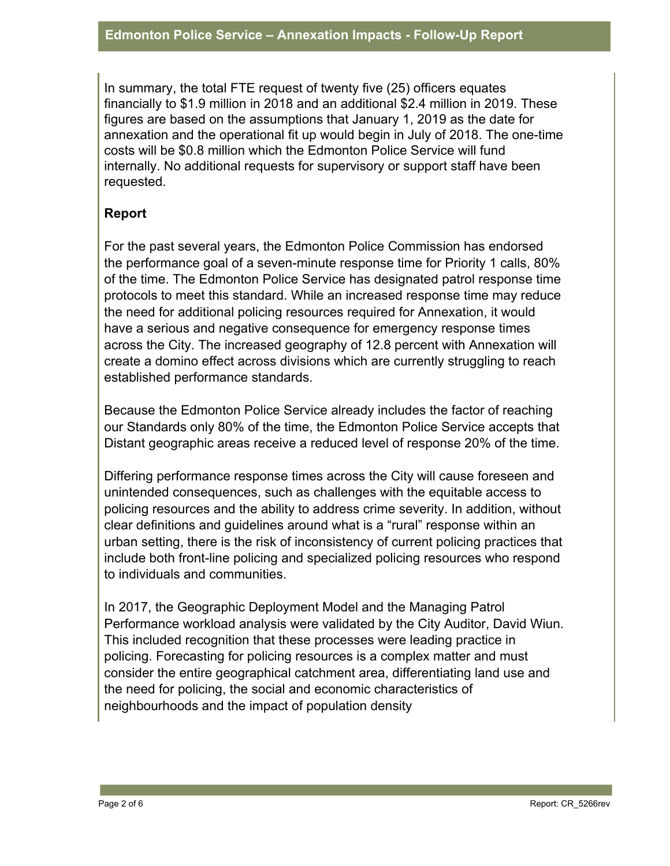In summary, the total FTE request of twenty five (25) officers equates financially to \$1.9 million in 2018 and an additional \$2.4 million in 2019. These figures are based on the assumptions that January 1, 2019 as the date for annexation and the operational fit up would begin in July of 2018. The one-time costs will be \$0.8 million which the Edmonton Police Service will fund internally. No additional requests for supervisory or support staff have been requested.

### **Report**

For the past several years, the Edmonton Police Commission has endorsed the performance goal of a seven-minute response time for Priority 1 calls, 80% of the time. The Edmonton Police Service has designated patrol response time protocols to meet this standard. While an increased response time may reduce the need for additional policing resources required for Annexation, it would have a serious and negative consequence for emergency response times across the City. The increased geography of 12.8 percent with Annexation will create a domino effect across divisions which are currently struggling to reach established performance standards.

Because the Edmonton Police Service already includes the factor of reaching our Standards only 80% of the time, the Edmonton Police Service accepts that Distant geographic areas receive a reduced level of response 20% of the time.

Differing performance response times across the City will cause foreseen and unintended consequences, such as challenges with the equitable access to policing resources and the ability to address crime severity. In addition, without clear definitions and guidelines around what is a "rural" response within an urban setting, there is the risk of inconsistency of current policing practices that include both front-line policing and specialized policing resources who respond to individuals and communities.

In 2017, the Geographic Deployment Model and the Managing Patrol Performance workload analysis were validated by the City Auditor, David Wiun. This included recognition that these processes were leading practice in policing. Forecasting for policing resources is a complex matter and must consider the entire geographical catchment area, differentiating land use and the need for policing, the social and economic characteristics of neighbourhoods and the impact of population density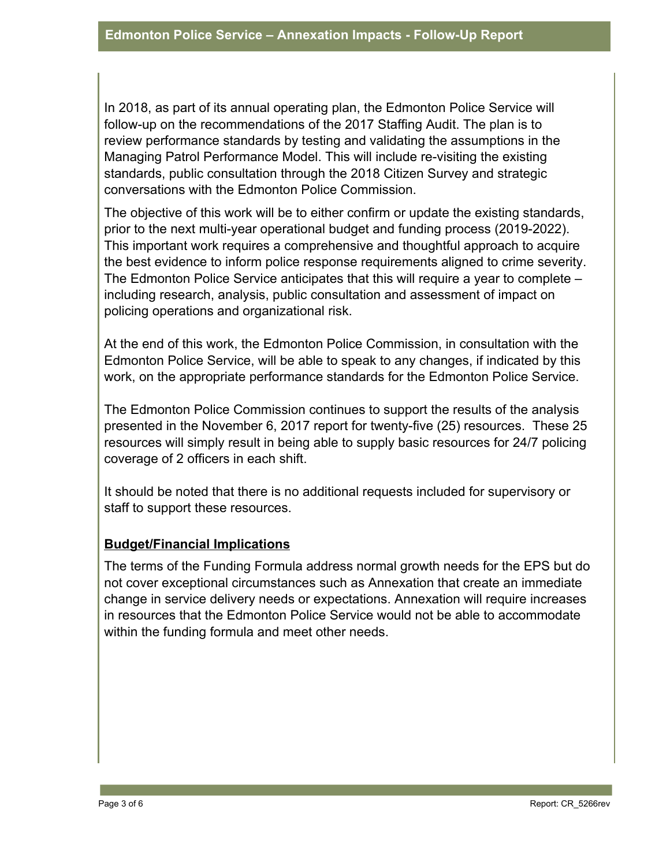In 2018, as part of its annual operating plan, the Edmonton Police Service will follow-up on the recommendations of the 2017 Staffing Audit. The plan is to review performance standards by testing and validating the assumptions in the Managing Patrol Performance Model. This will include re-visiting the existing standards, public consultation through the 2018 Citizen Survey and strategic conversations with the Edmonton Police Commission.

The objective of this work will be to either confirm or update the existing standards, prior to the next multi-year operational budget and funding process (2019-2022). This important work requires a comprehensive and thoughtful approach to acquire the best evidence to inform police response requirements aligned to crime severity. The Edmonton Police Service anticipates that this will require a year to complete – including research, analysis, public consultation and assessment of impact on policing operations and organizational risk.

At the end of this work, the Edmonton Police Commission, in consultation with the Edmonton Police Service, will be able to speak to any changes, if indicated by this work, on the appropriate performance standards for the Edmonton Police Service.

The Edmonton Police Commission continues to support the results of the analysis presented in the November 6, 2017 report for twenty-five (25) resources. These 25 resources will simply result in being able to supply basic resources for 24/7 policing coverage of 2 officers in each shift.

It should be noted that there is no additional requests included for supervisory or staff to support these resources.

## **Budget/Financial Implications**

The terms of the Funding Formula address normal growth needs for the EPS but do not cover exceptional circumstances such as Annexation that create an immediate change in service delivery needs or expectations. Annexation will require increases in resources that the Edmonton Police Service would not be able to accommodate within the funding formula and meet other needs.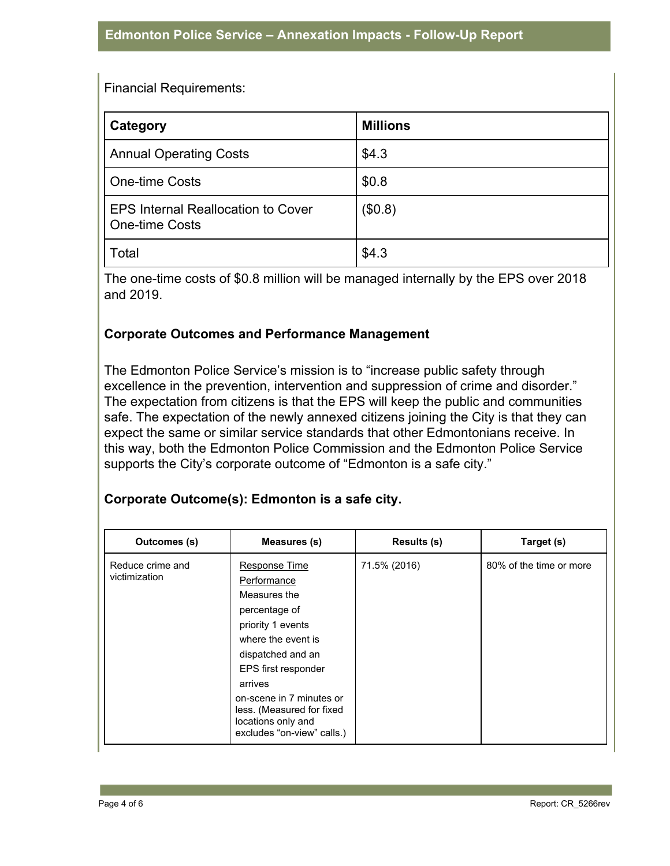Financial Requirements:

| Category                                                    | <b>Millions</b> |
|-------------------------------------------------------------|-----------------|
| <b>Annual Operating Costs</b>                               | \$4.3           |
| <b>One-time Costs</b>                                       | \$0.8           |
| <b>EPS Internal Reallocation to Cover</b><br>One-time Costs | (\$0.8)         |
| Total                                                       | \$4.3           |

The one-time costs of \$0.8 million will be managed internally by the EPS over 2018 and 2019.

#### **Corporate Outcomes and Performance Management**

The Edmonton Police Service's mission is to "increase public safety through excellence in the prevention, intervention and suppression of crime and disorder." The expectation from citizens is that the EPS will keep the public and communities safe. The expectation of the newly annexed citizens joining the City is that they can expect the same or similar service standards that other Edmontonians receive. In this way, both the Edmonton Police Commission and the Edmonton Police Service supports the City's corporate outcome of "Edmonton is a safe city."

#### **Corporate Outcome(s): Edmonton is a safe city.**

| Outcomes (s)                      | Measures (s)                                                                                                                                                                                                                                                                 | <b>Results (s)</b> | Target (s)              |
|-----------------------------------|------------------------------------------------------------------------------------------------------------------------------------------------------------------------------------------------------------------------------------------------------------------------------|--------------------|-------------------------|
| Reduce crime and<br>victimization | Response Time<br>Performance<br>Measures the<br>percentage of<br>priority 1 events<br>where the event is<br>dispatched and an<br>EPS first responder<br>arrives<br>on-scene in 7 minutes or<br>less. (Measured for fixed<br>locations only and<br>excludes "on-view" calls.) | 71.5% (2016)       | 80% of the time or more |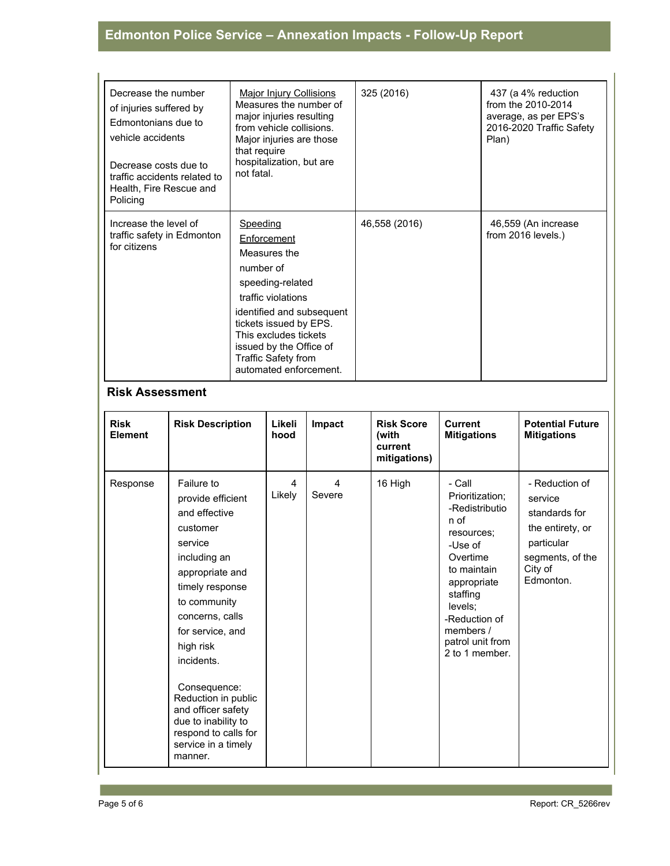# **Edmonton Police Service – Annexation Impacts - Follow-Up Report**

| Decrease the number<br>of injuries suffered by<br>Edmontonians due to<br>vehicle accidents<br>Decrease costs due to<br>traffic accidents related to<br>Health, Fire Rescue and<br>Policing | Major Injury Collisions<br>Measures the number of<br>major injuries resulting<br>from vehicle collisions.<br>Major injuries are those<br>that require<br>hospitalization, but are<br>not fatal.                                                                   | 325 (2016)    | 437 (a 4% reduction<br>from the 2010-2014<br>average, as per EPS's<br>2016-2020 Traffic Safety<br>Plan) |
|--------------------------------------------------------------------------------------------------------------------------------------------------------------------------------------------|-------------------------------------------------------------------------------------------------------------------------------------------------------------------------------------------------------------------------------------------------------------------|---------------|---------------------------------------------------------------------------------------------------------|
| Increase the level of<br>traffic safety in Edmonton<br>for citizens                                                                                                                        | Speeding<br>Enforcement<br>Measures the<br>number of<br>speeding-related<br>traffic violations<br>identified and subsequent<br>tickets issued by EPS.<br>This excludes tickets<br>issued by the Office of<br><b>Traffic Safety from</b><br>automated enforcement. | 46,558 (2016) | 46,559 (An increase<br>from 2016 levels.)                                                               |

#### **Risk Assessment**

| <b>Risk</b><br>Element | <b>Risk Description</b>                                                                                                                                                                                                                                                                                                                                       | Likeli<br>hood | Impact      | <b>Risk Score</b><br>(with<br>current<br>mitigations) | <b>Current</b><br><b>Mitigations</b>                                                                                                                                                                              | <b>Potential Future</b><br><b>Mitigations</b>                                                                            |
|------------------------|---------------------------------------------------------------------------------------------------------------------------------------------------------------------------------------------------------------------------------------------------------------------------------------------------------------------------------------------------------------|----------------|-------------|-------------------------------------------------------|-------------------------------------------------------------------------------------------------------------------------------------------------------------------------------------------------------------------|--------------------------------------------------------------------------------------------------------------------------|
| Response               | Failure to<br>provide efficient<br>and effective<br>customer<br>service<br>including an<br>appropriate and<br>timely response<br>to community<br>concerns, calls<br>for service, and<br>high risk<br>incidents.<br>Consequence:<br>Reduction in public<br>and officer safety<br>due to inability to<br>respond to calls for<br>service in a timely<br>manner. | 4<br>Likely    | 4<br>Severe | 16 High                                               | - Call<br>Prioritization;<br>-Redistributio<br>n of<br>resources:<br>-Use of<br>Overtime<br>to maintain<br>appropriate<br>staffing<br>levels;<br>-Reduction of<br>members /<br>patrol unit from<br>2 to 1 member. | - Reduction of<br>service<br>standards for<br>the entirety, or<br>particular<br>segments, of the<br>City of<br>Edmonton. |